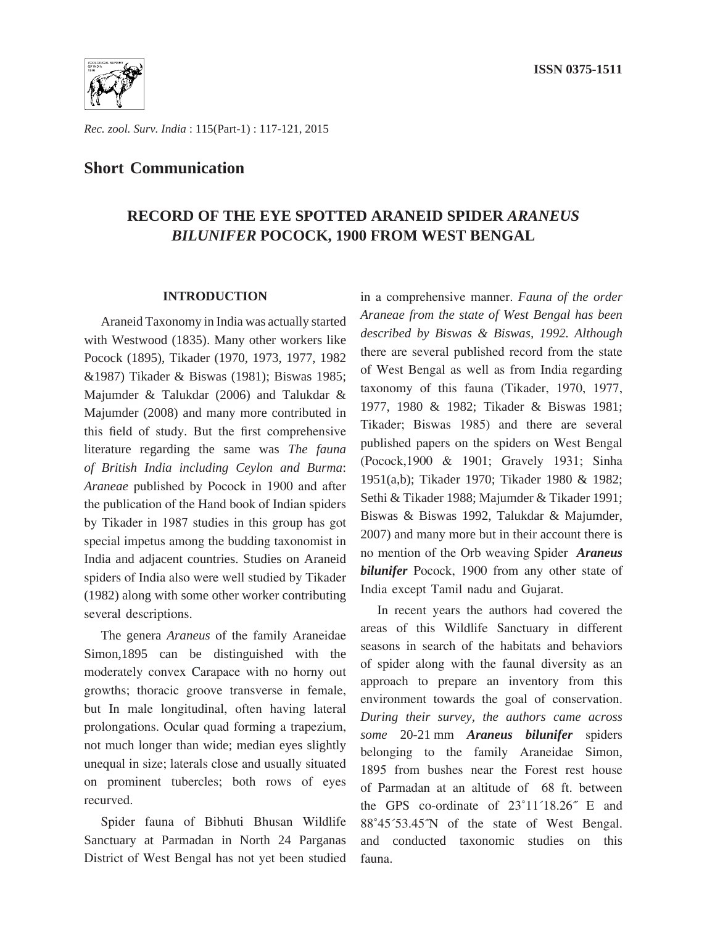

*Rec. zool. Surv. India* : 115(Part-1) : 117-121, 2015

## **Short Communication**

# **RECORD OF THE EYE SPOTTED ARANEID SPIDER** *ARANEUS BILUNIFER* **POCOCK, 1900 FROM WEST BENGAL**

#### **INTRODUCTION**

Araneid Taxonomy in India was actually started with Westwood (1835). Many other workers like Pocock (1895), Tikader (1970, 1973, 1977, 1982 &1987) Tikader & Biswas (1981); Biswas 1985; Majumder & Talukdar (2006) and Talukdar & Majumder (2008) and many more contributed in this field of study. But the first comprehensive literature regarding the same was *The fauna of British India including Ceylon and Burma*: *Araneae* published by Pocock in 1900 and after the publication of the Hand book of Indian spiders by Tikader in 1987 studies in this group has got special impetus among the budding taxonomist in India and adjacent countries. Studies on Araneid spiders of India also were well studied by Tikader (1982) along with some other worker contributing several descriptions.

The genera *Araneus* of the family Araneidae Simon,1895 can be distinguished with the moderately convex Carapace with no horny out growths; thoracic groove transverse in female, but In male longitudinal, often having lateral prolongations. Ocular quad forming a trapezium, not much longer than wide; median eyes slightly unequal in size; laterals close and usually situated on prominent tubercles; both rows of eyes recurved.

Spider fauna of Bibhuti Bhusan Wildlife Sanctuary at Parmadan in North 24 Parganas District of West Bengal has not yet been studied

in a comprehensive manner. *Fauna of the order Araneae from the state of West Bengal has been described by Biswas & Biswas, 1992. Although*  there are several published record from the state of West Bengal as well as from India regarding taxonomy of this fauna (Tikader, 1970, 1977, 1977, 1980 & 1982; Tikader & Biswas 1981; Tikader; Biswas 1985) and there are several published papers on the spiders on West Bengal (Pocock,1900 & 1901; Gravely 1931; Sinha 1951(a,b); Tikader 1970; Tikader 1980 & 1982; Sethi & Tikader 1988; Majumder & Tikader 1991; Biswas & Biswas 1992, Talukdar & Majumder, 2007) and many more but in their account there is no mention of the Orb weaving Spider *Araneus bilunifer* Pocock, 1900 from any other state of India except Tamil nadu and Gujarat.

In recent years the authors had covered the areas of this Wildlife Sanctuary in different seasons in search of the habitats and behaviors of spider along with the faunal diversity as an approach to prepare an inventory from this environment towards the goal of conservation. *During their survey, the authors came across some* 20-21 mm *Araneus bilunifer* spiders belonging to the family Araneidae Simon, 1895 from bushes near the Forest rest house of Parmadan at an altitude of 68 ft. between the GPS co-ordinate of 23˚11´18.26˝ E and 88˚45´53.45˝N of the state of West Bengal. and conducted taxonomic studies on this fauna.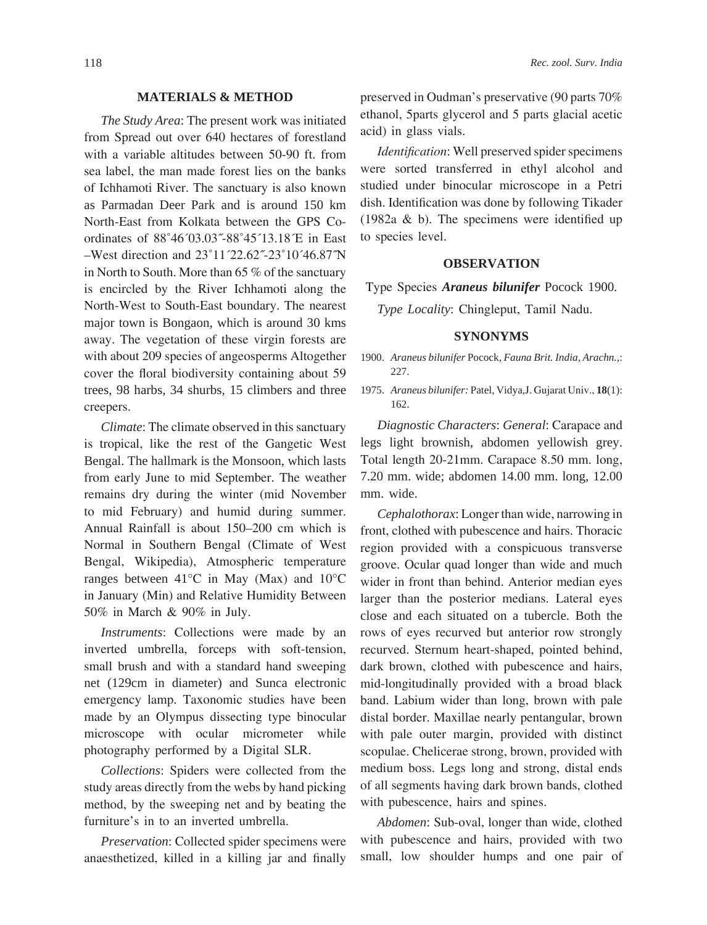#### **MATERIALS & METHOD**

*The Study Area*: The present work was initiated from Spread out over 640 hectares of forestland with a variable altitudes between 50-90 ft. from sea label, the man made forest lies on the banks of Ichhamoti River. The sanctuary is also known as Parmadan Deer Park and is around 150 km North-East from Kolkata between the GPS Coordinates of 88˚46´03.03˝-88˚45´13.18´E in East –West direction and 23˚11´22.62˝-23˚10´46.87˝N in North to South. More than 65 % of the sanctuary is encircled by the River Ichhamoti along the North-West to South-East boundary. The nearest major town is Bongaon, which is around 30 kms away. The vegetation of these virgin forests are with about 209 species of angeosperms Altogether cover the floral biodiversity containing about 59 trees, 98 harbs, 34 shurbs, 15 climbers and three creepers.

*Climate*: The climate observed in this sanctuary is tropical, like the rest of the Gangetic West Bengal. The hallmark is the Monsoon, which lasts from early June to mid September. The weather remains dry during the winter (mid November to mid February) and humid during summer. Annual Rainfall is about 150–200 cm which is Normal in Southern Bengal (Climate of West Bengal, Wikipedia), Atmospheric temperature ranges between 41°C in May (Max) and 10°C in January (Min) and Relative Humidity Between 50% in March & 90% in July.

*Instruments*: Collections were made by an inverted umbrella, forceps with soft-tension, small brush and with a standard hand sweeping net (129cm in diameter) and Sunca electronic emergency lamp. Taxonomic studies have been made by an Olympus dissecting type binocular microscope with ocular micrometer while photography performed by a Digital SLR.

*Collections*: Spiders were collected from the study areas directly from the webs by hand picking method, by the sweeping net and by beating the furniture's in to an inverted umbrella.

*Preservation*: Collected spider specimens were anaesthetized, killed in a killing jar and finally preserved in Oudman's preservative (90 parts 70% ethanol, 5parts glycerol and 5 parts glacial acetic acid) in glass vials.

*Identification*: Well preserved spider specimens were sorted transferred in ethyl alcohol and studied under binocular microscope in a Petri dish. Identification was done by following Tikader (1982a & b). The specimens were identified up to species level.

#### **OBSERVATION**

Type Species *Araneus bilunifer* Pocock 1900*.*

*Type Locality*: Chingleput, Tamil Nadu.

#### **SYNONYMS**

- 1900. *Araneus bilunifer* Pocock, *Fauna Brit. India, Arachn.,*: 227.
- 1975. *Araneus bilunifer:* Patel, Vidya*,*J. Gujarat Univ., **18**(1): 162.

*Diagnostic Characters*: *General*: Carapace and legs light brownish, abdomen yellowish grey. Total length 20-21mm. Carapace 8.50 mm. long, 7.20 mm. wide; abdomen 14.00 mm. long, 12.00 mm. wide.

*Cephalothorax*: Longer than wide, narrowing in front, clothed with pubescence and hairs. Thoracic region provided with a conspicuous transverse groove. Ocular quad longer than wide and much wider in front than behind. Anterior median eyes larger than the posterior medians. Lateral eyes close and each situated on a tubercle. Both the rows of eyes recurved but anterior row strongly recurved. Sternum heart-shaped, pointed behind, dark brown, clothed with pubescence and hairs, mid-longitudinally provided with a broad black band. Labium wider than long, brown with pale distal border. Maxillae nearly pentangular, brown with pale outer margin, provided with distinct scopulae. Chelicerae strong, brown, provided with medium boss. Legs long and strong, distal ends of all segments having dark brown bands, clothed with pubescence, hairs and spines.

*Abdomen*: Sub-oval, longer than wide, clothed with pubescence and hairs, provided with two small, low shoulder humps and one pair of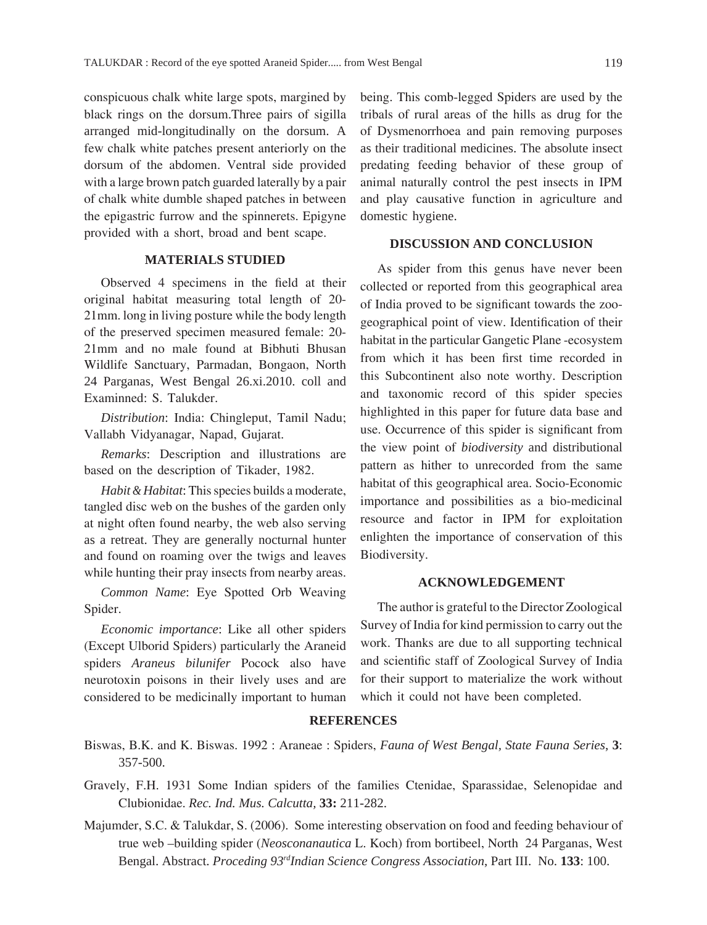conspicuous chalk white large spots, margined by black rings on the dorsum.Three pairs of sigilla arranged mid-longitudinally on the dorsum. A few chalk white patches present anteriorly on the dorsum of the abdomen. Ventral side provided with a large brown patch guarded laterally by a pair of chalk white dumble shaped patches in between the epigastric furrow and the spinnerets. Epigyne provided with a short, broad and bent scape.

#### **MATERIALS STUDIED**

Observed 4 specimens in the field at their original habitat measuring total length of 20- 21mm. long in living posture while the body length of the preserved specimen measured female: 20- 21mm and no male found at Bibhuti Bhusan Wildlife Sanctuary, Parmadan, Bongaon, North 24 Parganas, West Bengal 26.xi.2010. coll and Examinned: S. Talukder.

*Distribution*: India: Chingleput, Tamil Nadu; Vallabh Vidyanagar, Napad, Gujarat.

*Remarks*: Description and illustrations are based on the description of Tikader, 1982.

*Habit & Habitat*: This species builds a moderate, tangled disc web on the bushes of the garden only at night often found nearby, the web also serving as a retreat. They are generally nocturnal hunter and found on roaming over the twigs and leaves while hunting their pray insects from nearby areas.

*Common Name*: Eye Spotted Orb Weaving Spider.

*Economic importance*: Like all other spiders (Except Ulborid Spiders) particularly the Araneid spiders *Araneus bilunifer* Pocock also have neurotoxin poisons in their lively uses and are considered to be medicinally important to human

being. This comb-legged Spiders are used by the tribals of rural areas of the hills as drug for the of Dysmenorrhoea and pain removing purposes as their traditional medicines. The absolute insect predating feeding behavior of these group of animal naturally control the pest insects in IPM and play causative function in agriculture and domestic hygiene.

### **DISCUSSION AND CONCLUSION**

As spider from this genus have never been collected or reported from this geographical area of India proved to be significant towards the zoogeographical point of view. Identification of their habitat in the particular Gangetic Plane -ecosystem from which it has been first time recorded in this Subcontinent also note worthy. Description and taxonomic record of this spider species highlighted in this paper for future data base and use. Occurrence of this spider is significant from the view point of *biodiversity* and distributional pattern as hither to unrecorded from the same habitat of this geographical area. Socio-Economic importance and possibilities as a bio-medicinal resource and factor in IPM for exploitation enlighten the importance of conservation of this Biodiversity.

#### **ACKNOWLEDGEMENT**

The author is grateful to the Director Zoological Survey of India for kind permission to carry out the work. Thanks are due to all supporting technical and scientific staff of Zoological Survey of India for their support to materialize the work without which it could not have been completed.

#### **REFERENCES**

Biswas, B.K. and K. Biswas. 1992 : Araneae : Spiders, *Fauna of West Bengal, State Fauna Series*, **3**: 357-500.

Gravely, F.H. 1931 Some Indian spiders of the families Ctenidae, Sparassidae, Selenopidae and Clubionidae. *Rec. Ind. Mus. Calcutta,* **33:** 211-282.

Majumder, S.C. & Talukdar, S. (2006). Some interesting observation on food and feeding behaviour of true web –building spider (*Neosconanautica* L. Koch) from bortibeel, North 24 Parganas, West Bengal. Abstract. *Proceding 93rdIndian Science Congress Association*, Part III. No. **133**: 100.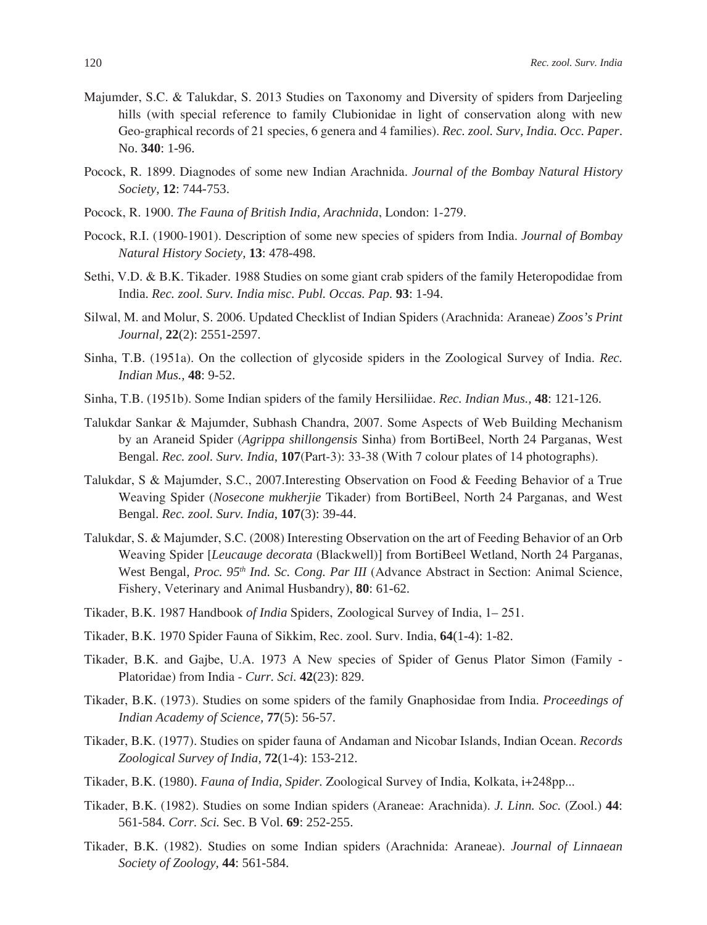- Majumder, S.C. & Talukdar, S. 2013 Studies on Taxonomy and Diversity of spiders from Darjeeling hills (with special reference to family Clubionidae in light of conservation along with new Geo-graphical records of 21 species, 6 genera and 4 families). *Rec. zool. Surv, India. Occ. Paper*. No. **340**: 1-96.
- Pocock, R. 1899. Diagnodes of some new Indian Arachnida. *Journal of the Bombay Natural History Society*, **12**: 744-753.
- Pocock, R. 1900. *The Fauna of British India, Arachnida*, London: 1-279.
- Pocock, R.I. (1900-1901). Description of some new species of spiders from India. *Journal of Bombay Natural History Society,* **13**: 478-498.
- Sethi, V.D. & B.K. Tikader. 1988 Studies on some giant crab spiders of the family Heteropodidae from India. *Rec. zool. Surv. India misc. Publ. Occas. Pap.* **93**: 1-94.
- Silwal, M. and Molur, S. 2006. Updated Checklist of Indian Spiders (Arachnida: Araneae) *Zoos's Print Journal,* **22**(2): 2551-2597.
- Sinha, T.B. (1951a). On the collection of glycoside spiders in the Zoological Survey of India. *Rec. Indian Mus.,* **48**: 9-52.
- Sinha, T.B. (1951b). Some Indian spiders of the family Hersiliidae. *Rec. Indian Mus.,* **48**: 121-126.
- Talukdar Sankar & Majumder, Subhash Chandra, 2007. Some Aspects of Web Building Mechanism by an Araneid Spider (*Agrippa shillongensis* Sinha) from BortiBeel, North 24 Parganas, West Bengal. *Rec. zool. Surv. India*, **107**(Part-3): 33-38 (With 7 colour plates of 14 photographs).
- Talukdar, S & Majumder, S.C., 2007.Interesting Observation on Food & Feeding Behavior of a True Weaving Spider (*Nosecone mukherjie* Tikader) from BortiBeel, North 24 Parganas, and West Bengal. *Rec. zool. Surv. India*, **107**(3): 39-44.
- Talukdar, S. & Majumder, S.C. (2008) Interesting Observation on the art of Feeding Behavior of an Orb Weaving Spider [*Leucauge decorata* (Blackwell)] from BortiBeel Wetland, North 24 Parganas, West Bengal, *Proc. 95<sup>th</sup> Ind. Sc. Cong. Par III* (Advance Abstract in Section: Animal Science, Fishery, Veterinary and Animal Husbandry), **80**: 61-62.
- Tikader, B.K. 1987 Handbook *of India* Spiders, Zoological Survey of India, 1– 251.
- Tikader, B.K. 1970 Spider Fauna of Sikkim, Rec. zool. Surv. India, **64**(1-4): 1-82.
- Tikader, B.K. and Gajbe, U.A. 1973 A New species of Spider of Genus Plator Simon (Family Platoridae) from India - *Curr. Sci.* **42**(23): 829.
- Tikader, B.K. (1973). Studies on some spiders of the family Gnaphosidae from India. *Proceedings of Indian Academy of Science,* **77**(5): 56-57.
- Tikader, B.K. (1977). Studies on spider fauna of Andaman and Nicobar Islands, Indian Ocean. *Records Zoological Survey of India,* **72**(1-4): 153-212.
- Tikader, B.K. (1980). *Fauna of India, Spider.* Zoological Survey of India, Kolkata, i+248pp...
- Tikader, B.K. (1982). Studies on some Indian spiders (Araneae: Arachnida). *J. Linn. Soc.* (Zool.) **44**: 561-584. *Corr. Sci.* Sec. B Vol. **69**: 252-255.
- Tikader, B.K. (1982). Studies on some Indian spiders (Arachnida: Araneae). *Journal of Linnaean Society of Zoology,* **44**: 561-584.